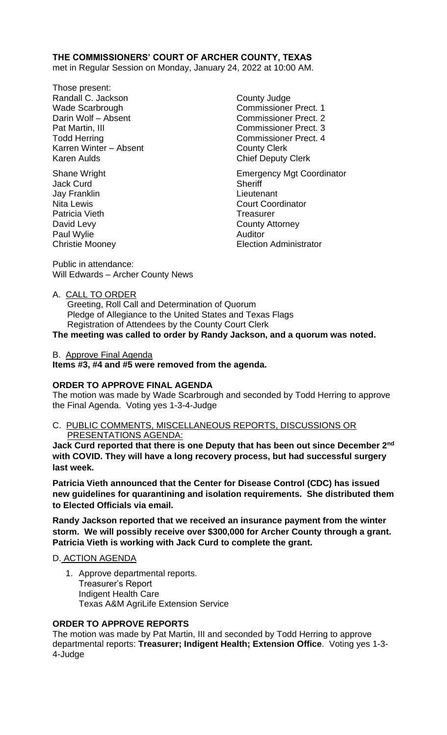# **THE COMMISSIONERS' COURT OF ARCHER COUNTY, TEXAS**

met in Regular Session on Monday, January 24, 2022 at 10:00 AM.

- Those present: Randall C. Jackson County Judge Wade Scarbrough Commissioner Prect. 1 Darin Wolf – Absent Commissioner Prect. 2 Pat Martin, III Commissioner Prect. 3 Todd Herring Todd Exercise Commissioner Prect. 4 Karren Winter – Absent County Clerk Karen Aulds **Chief Deputy Clerk**
- Jack Curd **Sheriff** Jay Franklin Lieutenant Patricia Vieth **Treasurer** Treasurer Paul Wylie

Shane Wright **Emergency Mgt Coordinator** Nita Lewis **Court Coordinator** David Levy County Attorney Christie Mooney Election Administrator

Public in attendance: Will Edwards – Archer County News

A. CALL TO ORDER

 Greeting, Roll Call and Determination of Quorum Pledge of Allegiance to the United States and Texas Flags Registration of Attendees by the County Court Clerk

**The meeting was called to order by Randy Jackson, and a quorum was noted.**

B. Approve Final Agenda

**Items #3, #4 and #5 were removed from the agenda.**

## **ORDER TO APPROVE FINAL AGENDA**

The motion was made by Wade Scarbrough and seconded by Todd Herring to approve the Final Agenda. Voting yes 1-3-4-Judge

# C. PUBLIC COMMENTS, MISCELLANEOUS REPORTS, DISCUSSIONS OR

PRESENTATIONS AGENDA:

**Jack Curd reported that there is one Deputy that has been out since December 2nd with COVID. They will have a long recovery process, but had successful surgery last week.**

**Patricia Vieth announced that the Center for Disease Control (CDC) has issued new guidelines for quarantining and isolation requirements. She distributed them to Elected Officials via email.**

**Randy Jackson reported that we received an insurance payment from the winter storm. We will possibly receive over \$300,000 for Archer County through a grant. Patricia Vieth is working with Jack Curd to complete the grant.**

## D. ACTION AGENDA

1. Approve departmental reports. Treasurer's Report Indigent Health Care Texas A&M AgriLife Extension Service

## **ORDER TO APPROVE REPORTS**

The motion was made by Pat Martin, III and seconded by Todd Herring to approve departmental reports: **Treasurer; Indigent Health; Extension Office**.Voting yes 1-3- 4-Judge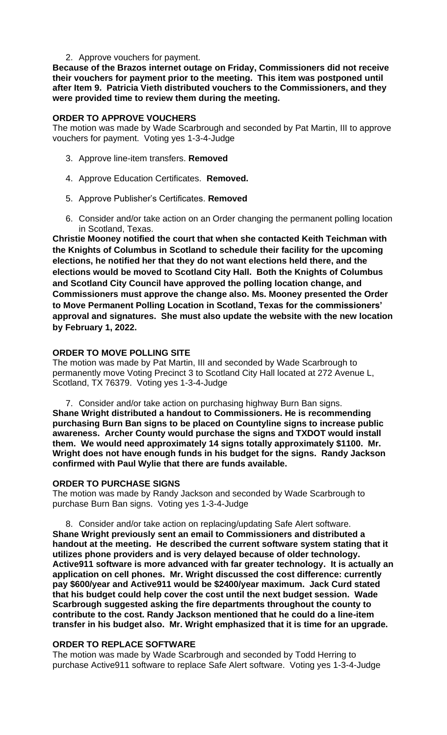#### 2. Approve vouchers for payment.

**Because of the Brazos internet outage on Friday, Commissioners did not receive their vouchers for payment prior to the meeting. This item was postponed until after Item 9. Patricia Vieth distributed vouchers to the Commissioners, and they were provided time to review them during the meeting.**

### **ORDER TO APPROVE VOUCHERS**

The motion was made by Wade Scarbrough and seconded by Pat Martin, III to approve vouchers for payment. Voting yes 1-3-4-Judge

- 3. Approve line-item transfers. **Removed**
- 4. Approve Education Certificates. **Removed.**
- 5. Approve Publisher's Certificates. **Removed**
- 6. Consider and/or take action on an Order changing the permanent polling location in Scotland, Texas.

**Christie Mooney notified the court that when she contacted Keith Teichman with the Knights of Columbus in Scotland to schedule their facility for the upcoming elections, he notified her that they do not want elections held there, and the elections would be moved to Scotland City Hall. Both the Knights of Columbus and Scotland City Council have approved the polling location change, and Commissioners must approve the change also. Ms. Mooney presented the Order to Move Permanent Polling Location in Scotland, Texas for the commissioners' approval and signatures. She must also update the website with the new location by February 1, 2022.** 

### **ORDER TO MOVE POLLING SITE**

The motion was made by Pat Martin, III and seconded by Wade Scarbrough to permanently move Voting Precinct 3 to Scotland City Hall located at 272 Avenue L, Scotland, TX 76379. Voting yes 1-3-4-Judge

7. Consider and/or take action on purchasing highway Burn Ban signs. **Shane Wright distributed a handout to Commissioners. He is recommending purchasing Burn Ban signs to be placed on Countyline signs to increase public awareness. Archer County would purchase the signs and TXDOT would install them. We would need approximately 14 signs totally approximately \$1100. Mr. Wright does not have enough funds in his budget for the signs. Randy Jackson confirmed with Paul Wylie that there are funds available.**

#### **ORDER TO PURCHASE SIGNS**

The motion was made by Randy Jackson and seconded by Wade Scarbrough to purchase Burn Ban signs. Voting yes 1-3-4-Judge

8. Consider and/or take action on replacing/updating Safe Alert software. **Shane Wright previously sent an email to Commissioners and distributed a handout at the meeting. He described the current software system stating that it utilizes phone providers and is very delayed because of older technology. Active911 software is more advanced with far greater technology. It is actually an application on cell phones. Mr. Wright discussed the cost difference: currently pay \$600/year and Active911 would be \$2400/year maximum. Jack Curd stated that his budget could help cover the cost until the next budget session. Wade Scarbrough suggested asking the fire departments throughout the county to contribute to the cost. Randy Jackson mentioned that he could do a line-item transfer in his budget also. Mr. Wright emphasized that it is time for an upgrade.**

#### **ORDER TO REPLACE SOFTWARE**

The motion was made by Wade Scarbrough and seconded by Todd Herring to purchase Active911 software to replace Safe Alert software. Voting yes 1-3-4-Judge